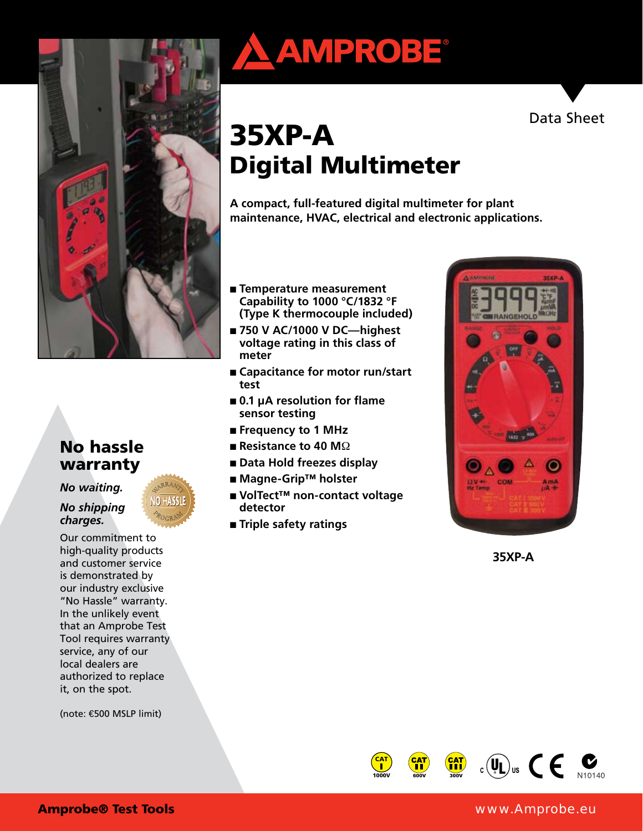

#### No hassle warranty

*No waiting.* 

#### *No shipping charges.*

Our commitment to high-quality products and customer service is demonstrated by our industry exclusive "No Hassle" warranty. In the unlikely event that an Amprobe Test Tool requires warranty service, any of our local dealers are authorized to replace it, on the spot.

(note: €500 MSLP limit)

# **AMPROBE®**



## 35XP-A Digital Multimeter

**A compact, full-featured digital multimeter for plant maintenance, HVAC, electrical and electronic applications.**

- **Temperature measurement Capability to 1000 °C/1832 °F (Type K thermocouple included)**
- 750 V AC/1000 V DC—highest **voltage rating in this class of meter**
- **Capacitance for motor run/start test**
- **0.1 μA resolution for flame sensor testing**
- **Frequency to 1 MHz**
- **Resistance to 40 M**Ω
- **Data Hold freezes display**
- **Magne-Grip™ holster**
- **VolTect™ non-contact voltage detector**
- **Triple safety ratings**



**35XP-A**

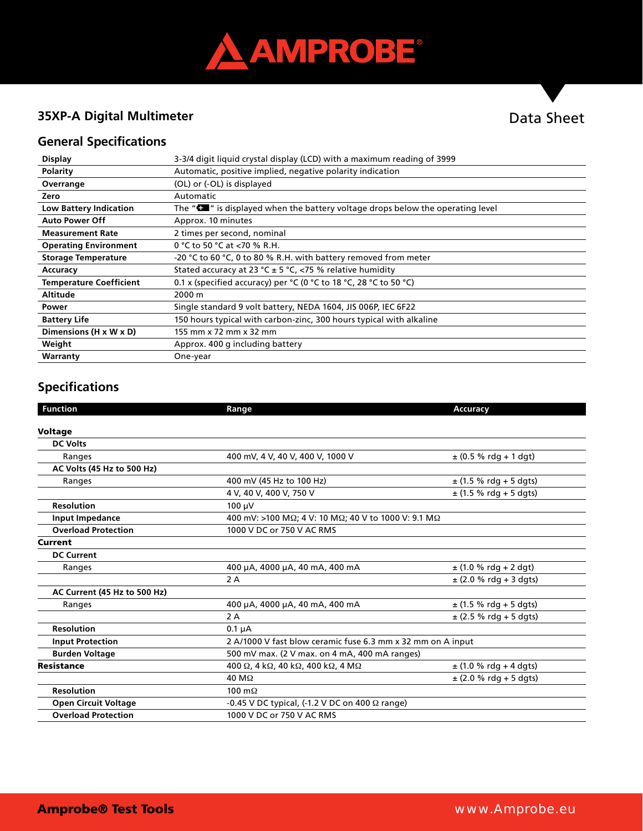

#### **35XP-A Digital Multimeter**

### Data Sheet

#### **General Specifications**

| <b>Display</b>                 | 3-3/4 digit liquid crystal display (LCD) with a maximum reading of 3999                      |
|--------------------------------|----------------------------------------------------------------------------------------------|
| Polarity                       | Automatic, positive implied, negative polarity indication                                    |
| Overrange                      | (OL) or (-OL) is displayed                                                                   |
| Zero                           | Automatic                                                                                    |
| <b>Low Battery Indication</b>  | The " $\blacksquare$ " is displayed when the battery voltage drops below the operating level |
| <b>Auto Power Off</b>          | Approx. 10 minutes                                                                           |
| <b>Measurement Rate</b>        | 2 times per second, nominal                                                                  |
| <b>Operating Environment</b>   | 0 °C to 50 °C at <70 % R.H.                                                                  |
| <b>Storage Temperature</b>     | -20 °C to 60 °C, 0 to 80 % R.H. with battery removed from meter                              |
| Accuracy                       | Stated accuracy at 23 °C ± 5 °C, <75 % relative humidity                                     |
| <b>Temperature Coefficient</b> | 0.1 x (specified accuracy) per $°C$ (0 $°C$ to 18 $°C$ , 28 $°C$ to 50 $°C$ )                |
| <b>Altitude</b>                | 2000 m                                                                                       |
| Power                          | Single standard 9 volt battery, NEDA 1604, JIS 006P, IEC 6F22                                |
| <b>Battery Life</b>            | 150 hours typical with carbon-zinc, 300 hours typical with alkaline                          |
| Dimensions (H x W x D)         | 155 mm x 72 mm x 32 mm                                                                       |
| Weight                         | Approx. 400 g including battery                                                              |
| Warranty                       | One-year                                                                                     |

#### **Specifications**

| <b>Function</b>              | Range                                                       | <b>Accuracy</b>            |  |
|------------------------------|-------------------------------------------------------------|----------------------------|--|
|                              |                                                             |                            |  |
| <b>Voltage</b>               |                                                             |                            |  |
| <b>DC Volts</b>              |                                                             |                            |  |
| Ranges                       | 400 mV, 4 V, 40 V, 400 V, 1000 V                            | $\pm$ (0.5 % rdg + 1 dgt)  |  |
| AC Volts (45 Hz to 500 Hz)   |                                                             |                            |  |
| Ranges                       | 400 mV (45 Hz to 100 Hz)                                    | $\pm$ (1.5 % rdg + 5 dgts) |  |
|                              | 4 V, 40 V, 400 V, 750 V                                     | $\pm$ (1.5 % rdg + 5 dgts) |  |
| <b>Resolution</b>            | $100 \mu V$                                                 |                            |  |
| <b>Input Impedance</b>       | 400 mV: >100 MΩ; 4 V: 10 MΩ; 40 V to 1000 V: 9.1 MΩ         |                            |  |
| <b>Overload Protection</b>   | 1000 V DC or 750 V AC RMS                                   |                            |  |
| <b>Current</b>               |                                                             |                            |  |
| <b>DC Current</b>            |                                                             |                            |  |
| Ranges                       | 400 µA, 4000 µA, 40 mA, 400 mA                              | $\pm$ (1.0 % rdg + 2 dgt)  |  |
|                              | 2A                                                          | $\pm$ (2.0 % rdg + 3 dgts) |  |
| AC Current (45 Hz to 500 Hz) |                                                             |                            |  |
| Ranges                       | 400 µA, 4000 µA, 40 mA, 400 mA                              | $±$ (1.5 % rdg + 5 dgts)   |  |
|                              | 2A                                                          | $\pm$ (2.5 % rdg + 5 dgts) |  |
| <b>Resolution</b>            | $0.1 \mu A$                                                 |                            |  |
| <b>Input Protection</b>      | 2 A/1000 V fast blow ceramic fuse 6.3 mm x 32 mm on A input |                            |  |
| <b>Burden Voltage</b>        | 500 mV max. (2 V max. on 4 mA, 400 mA ranges)               |                            |  |
| <b>Resistance</b>            | 400 Ω, 4 kΩ, 40 kΩ, 400 kΩ, 4 MΩ                            | $\pm$ (1.0 % rdg + 4 dgts) |  |
|                              | $40 \text{ M}\Omega$                                        | $\pm$ (2.0 % rdg + 5 dgts) |  |
| <b>Resolution</b>            | 100 $m\Omega$                                               |                            |  |
| <b>Open Circuit Voltage</b>  | $-0.45$ V DC typical, (-1.2 V DC on 400 $\Omega$ range)     |                            |  |
| <b>Overload Protection</b>   | 1000 V DC or 750 V AC RMS                                   |                            |  |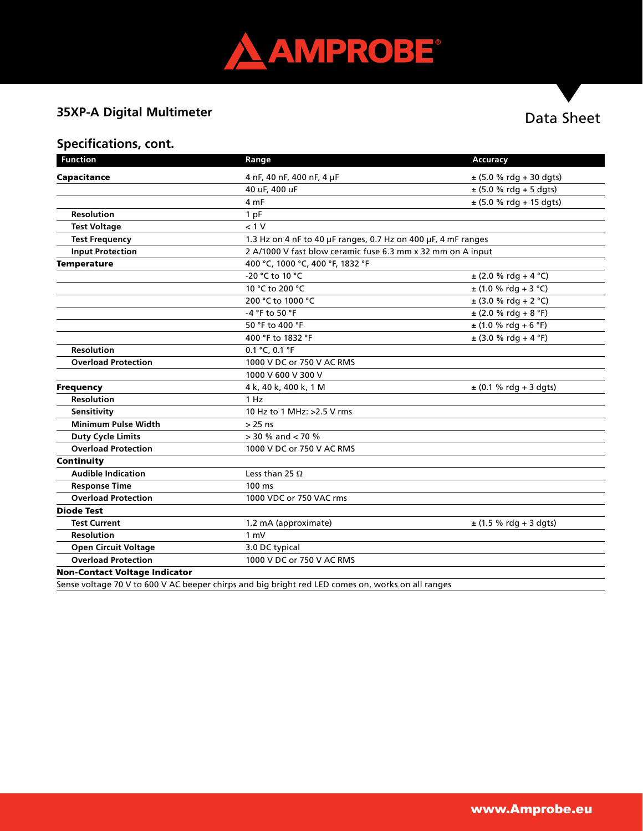

#### **35XP-A Digital Multimeter**

#### Data Sheet

#### **Specifications, cont.**

| <b>Function</b>                      | Range                                                                                           | <b>Accuracy</b>             |  |
|--------------------------------------|-------------------------------------------------------------------------------------------------|-----------------------------|--|
| Capacitance                          | 4 nF, 40 nF, 400 nF, 4 µF                                                                       | $\pm$ (5.0 % rdg + 30 dgts) |  |
|                                      | 40 uF, 400 uF                                                                                   | $\pm$ (5.0 % rdg + 5 dgts)  |  |
|                                      | 4 mF                                                                                            | $\pm$ (5.0 % rdg + 15 dgts) |  |
| <b>Resolution</b>                    | 1 pF                                                                                            |                             |  |
| <b>Test Voltage</b>                  | < 1 V                                                                                           |                             |  |
| <b>Test Frequency</b>                | 1.3 Hz on 4 nF to 40 µF ranges, 0.7 Hz on 400 µF, 4 mF ranges                                   |                             |  |
| <b>Input Protection</b>              | 2 A/1000 V fast blow ceramic fuse 6.3 mm x 32 mm on A input                                     |                             |  |
| <b>Temperature</b>                   | 400 °C, 1000 °C, 400 °F, 1832 °F                                                                |                             |  |
|                                      | -20 °C to 10 °C                                                                                 | $\pm$ (2.0 % rdg + 4 °C)    |  |
|                                      | 10 °C to 200 °C                                                                                 | $\pm$ (1.0 % rdg + 3 °C)    |  |
|                                      | 200 °C to 1000 °C                                                                               | $\pm$ (3.0 % rdg + 2 °C)    |  |
|                                      | -4 °F to 50 °F                                                                                  | $\pm$ (2.0 % rdg + 8 °F)    |  |
|                                      | 50 °F to 400 °F                                                                                 | $\pm$ (1.0 % rdg + 6 °F)    |  |
|                                      | 400 °F to 1832 °F                                                                               | $\pm$ (3.0 % rdg + 4 °F)    |  |
| <b>Resolution</b>                    | $0.1 °C$ , $0.1 °F$                                                                             |                             |  |
| <b>Overload Protection</b>           | 1000 V DC or 750 V AC RMS                                                                       |                             |  |
|                                      | 1000 V 600 V 300 V                                                                              |                             |  |
| <b>Frequency</b>                     | 4 k, 40 k, 400 k, 1 M                                                                           | $\pm$ (0.1 % rdg + 3 dgts)  |  |
| <b>Resolution</b>                    | 1 Hz                                                                                            |                             |  |
| Sensitivity                          | 10 Hz to 1 MHz: >2.5 V rms                                                                      |                             |  |
| <b>Minimum Pulse Width</b>           | $> 25$ ns                                                                                       |                             |  |
| <b>Duty Cycle Limits</b>             | $>$ 30 % and $<$ 70 %                                                                           |                             |  |
| <b>Overload Protection</b>           | 1000 V DC or 750 V AC RMS                                                                       |                             |  |
| Continuity                           |                                                                                                 |                             |  |
| <b>Audible Indication</b>            | Less than 25 $\Omega$                                                                           |                             |  |
| <b>Response Time</b>                 | 100 ms                                                                                          |                             |  |
| <b>Overload Protection</b>           | 1000 VDC or 750 VAC rms                                                                         |                             |  |
| <b>Diode Test</b>                    |                                                                                                 |                             |  |
| <b>Test Current</b>                  | 1.2 mA (approximate)                                                                            | $\pm$ (1.5 % rdg + 3 dgts)  |  |
| <b>Resolution</b>                    | 1 mV                                                                                            |                             |  |
| <b>Open Circuit Voltage</b>          | 3.0 DC typical                                                                                  |                             |  |
| <b>Overload Protection</b>           | 1000 V DC or 750 V AC RMS                                                                       |                             |  |
| <b>Non-Contact Voltage Indicator</b> |                                                                                                 |                             |  |
|                                      | ance unitage 70 M to COOM AC hooper chirage and big bright red LED comes on works on all repose |                             |  |

Sense voltage 70 V to 600 V AC beeper chirps and big bright red LED comes on, works on all ranges